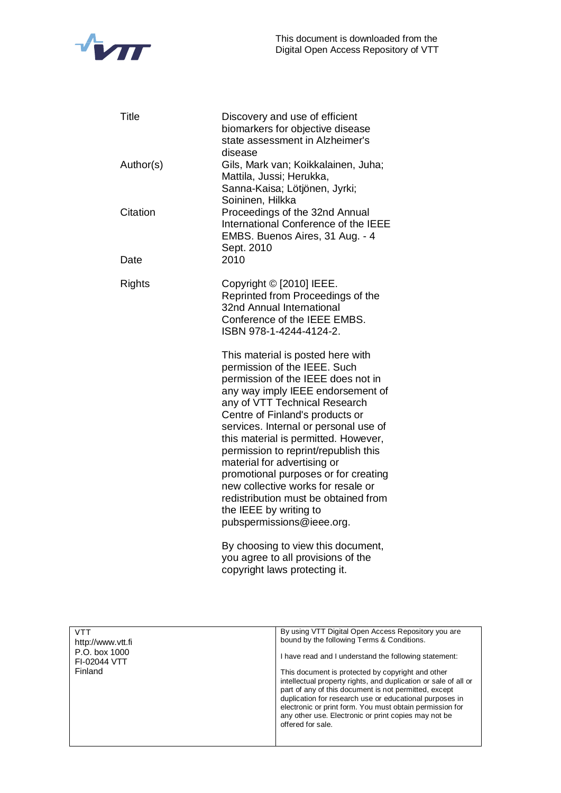

| Title     | Discovery and use of efficient<br>biomarkers for objective disease<br>state assessment in Alzheimer's<br>disease                                                                                                                                                                                                                                                                                                                                                                                                                                      |  |  |
|-----------|-------------------------------------------------------------------------------------------------------------------------------------------------------------------------------------------------------------------------------------------------------------------------------------------------------------------------------------------------------------------------------------------------------------------------------------------------------------------------------------------------------------------------------------------------------|--|--|
| Author(s) | Gils, Mark van; Koikkalainen, Juha;<br>Mattila, Jussi; Herukka,<br>Sanna-Kaisa; Lötjönen, Jyrki;<br>Soininen, Hilkka                                                                                                                                                                                                                                                                                                                                                                                                                                  |  |  |
| Citation  | Proceedings of the 32nd Annual<br>International Conference of the IEEE<br>EMBS. Buenos Aires, 31 Aug. - 4<br>Sept. 2010                                                                                                                                                                                                                                                                                                                                                                                                                               |  |  |
| Date      | 2010                                                                                                                                                                                                                                                                                                                                                                                                                                                                                                                                                  |  |  |
| Rights    | Copyright © [2010] IEEE.<br>Reprinted from Proceedings of the<br>32nd Annual International<br>Conference of the IEEE EMBS.<br>ISBN 978-1-4244-4124-2.                                                                                                                                                                                                                                                                                                                                                                                                 |  |  |
|           | This material is posted here with<br>permission of the IEEE. Such<br>permission of the IEEE does not in<br>any way imply IEEE endorsement of<br>any of VTT Technical Research<br>Centre of Finland's products or<br>services. Internal or personal use of<br>this material is permitted. However,<br>permission to reprint/republish this<br>material for advertising or<br>promotional purposes or for creating<br>new collective works for resale or<br>redistribution must be obtained from<br>the IEEE by writing to<br>pubspermissions@ieee.org. |  |  |
|           | By choosing to view this document,<br>you agree to all provisions of the<br>copyright laws protecting it.                                                                                                                                                                                                                                                                                                                                                                                                                                             |  |  |
|           |                                                                                                                                                                                                                                                                                                                                                                                                                                                                                                                                                       |  |  |

VTT http://www.vtt.fi P.O. box 1000 FI-02044 VTT Finland By using VTT Digital Open Access Repository you are bound by the following Terms & Conditions. I have read and I understand the following statement: This document is protected by copyright and other intellectual property rights, and duplication or sale of all or part of any of this document is not permitted, except duplication for research use or educational purposes in electronic or print form. You must obtain permission for any other use. Electronic or print copies may not be offered for sale.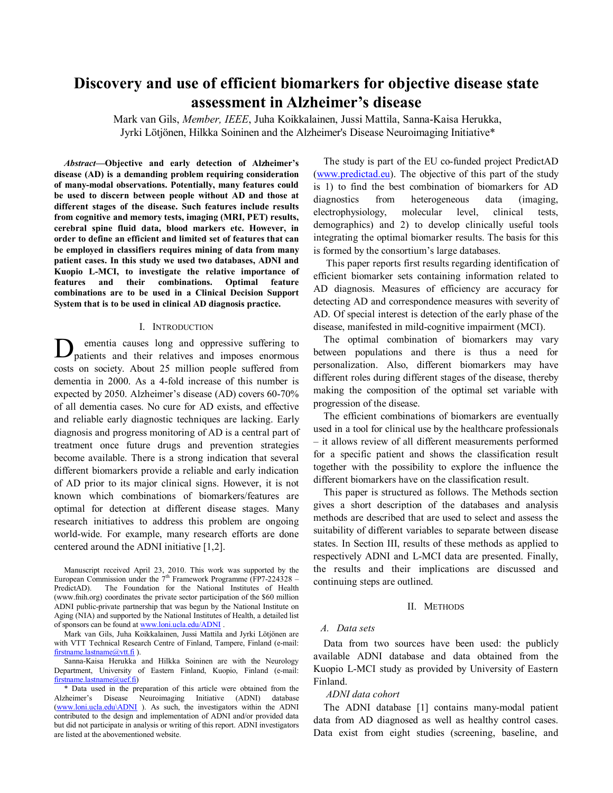# **Discovery and use of efficient biomarkers for objective disease state assessment in Alzheimer's disease**

Mark van Gils, *Member, IEEE*, Juha Koikkalainen, Jussi Mattila, Sanna-Kaisa Herukka, Jyrki Lötjönen, Hilkka Soininen and the Alzheimer's Disease Neuroimaging Initiative\*

*Abstract***— Objective and early detection of Alzheimer's disease (AD) is a demanding problem requiring consideration of many-modal observations. Potentially, many features could be used to discern between people without AD and those at different stages of the disease. Such features include results from cognitive and memory tests, imaging (MRI, PET) results, cerebral spine fluid data, blood markers etc. However, in order to define an efficient and limited set of features that can be employed in classifiers requires mining of data from many patient cases. In this study we used two databases, ADNI and Kuopio L-MCI, to investigate the relative importance of features and their combinations. Optimal feature combinations are to be used in a Clinical Decision Support System that is to be used in clinical AD diagnosis practice.**

#### I. INTRODUCTION

ementia causes long and oppressive suffering to D ementia causes long and oppressive suffering to patients and their relatives and imposes enormous costs on society. About 25 million people suffered from dementia in 2000. As a 4-fold increase of this number is expected by 2050. Alzheimer's disease (AD) covers 60-70% of all dementia cases. No cure for AD exists, and effective and reliable early diagnostic techniques are lacking. Early diagnosis and progress monitoring of AD is a central part of treatment once future drugs and prevention strategies become available. There is a strong indication that several different biomarkers provide a reliable and early indication of AD prior to its major clinical signs. However, it is not known which combinations of biomarkers/features are optimal for detection at different disease stages. Many research initiatives to address this problem are ongoing world-wide. For example, many research efforts are done centered around the ADNI initiative [1,2].

The study is part of the EU co-funded project PredictAD (www.predictad.eu). The objective of this part of the study is 1) to find the best combination of biomarkers for AD diagnostics from heterogeneous data (imaging, electrophysiology, molecular level, clinical tests, demographics) and 2) to develop clinically useful tools integrating the optimal biomarker results. The basis for this is formed by the consortium's large databases.

 This paper reports first results regarding identification of efficient biomarker sets containing information related to AD diagnosis. Measures of efficiency are accuracy for detecting AD and correspondence measures with severity of AD. Of special interest is detection of the early phase of the disease, manifested in mild-cognitive impairment (MCI).

The optimal combination of biomarkers may vary between populations and there is thus a need for personalization. Also, different biomarkers may have different roles during different stages of the disease, thereby making the composition of the optimal set variable with progression of the disease.

The efficient combinations of biomarkers are eventually used in a tool for clinical use by the healthcare professionals – it allows review of all different measurements performed for a specific patient and shows the classification result together with the possibility to explore the influence the different biomarkers have on the classification result.

This paper is structured as follows. The Methods section gives a short description of the databases and analysis methods are described that are used to select and assess the suitability of different variables to separate between disease states. In Section III, results of these methods as applied to respectively ADNI and L-MCI data are presented. Finally, the results and their implications are discussed and continuing steps are outlined.

## II. METHODS

### *A. Data sets*

Data from two sources have been used: the publicly available ADNI database and data obtained from the Kuopio L-MCI study as provided by University of Eastern Finland.

#### *ADNI data cohort*

The ADNI database [1] contains many-modal patient data from AD diagnosed as well as healthy control cases. Data exist from eight studies (screening, baseline, and

Manuscript received April 23, 2010. This work was supported by the European Commission under the  $7<sup>th</sup>$  Framework Programme (FP7-224328 – PredictAD). The Foundation for the National Institutes of Health (www.fnih.org) coordinates the private sector participation of the \$60 million ADNI public-private partnership that was begun by the National Institute on Aging (NIA) and supported by the National Institutes of Health, a detailed list of sponsors can be found at www.loni.ucla.edu/ADNI .

Mark van Gils, Juha Koikkalainen, Jussi Mattila and Jyrki Lötjönen are with VTT Technical Research Centre of Finland, Tampere, Finland (e-mail: firstname.lastname@vtt.fi ).

Sanna-Kaisa Herukka and Hilkka Soininen are with the Neurology Department, University of Eastern Finland, Kuopio, Finland (e-mail: firstname.lastname@uef.fi)

<sup>\*</sup> Data used in the preparation of this article were obtained from the Alzheimer's Disease Neuroimaging Initiative (ADNI) database (www.loni.ucla.edu\ADNI). As such, the investigators within the ADNI contributed to the design and implementation of ADNI and/or provided data but did not participate in analysis or writing of this report. ADNI investigators are listed at the abovementioned website.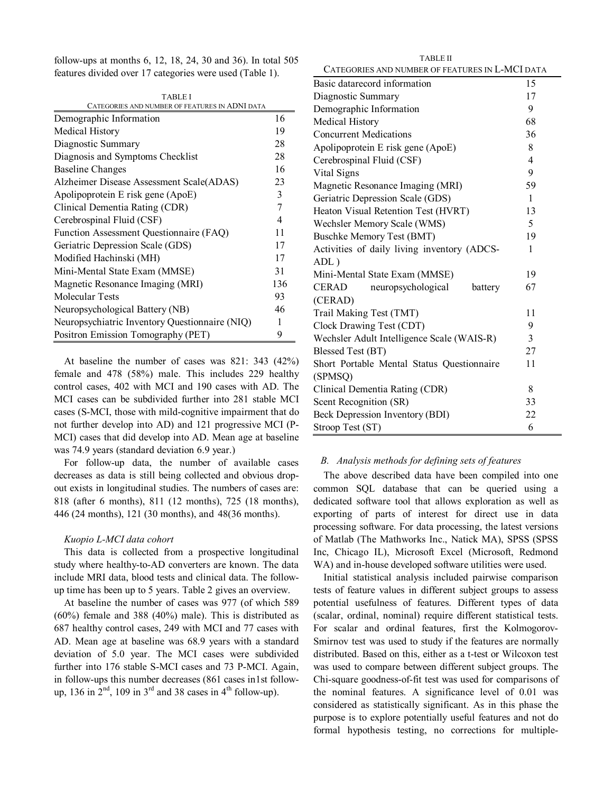follow-ups at months 6, 12, 18, 24, 30 and 36). In total 505 features divided over 17 categories were used (Table 1).

| <b>TABLEI</b>                                  |     |  |  |
|------------------------------------------------|-----|--|--|
| CATEGORIES AND NUMBER OF FEATURES IN ADNI DATA |     |  |  |
| Demographic Information                        | 16  |  |  |
| Medical History                                | 19  |  |  |
| Diagnostic Summary                             | 28  |  |  |
| Diagnosis and Symptoms Checklist               | 28  |  |  |
| <b>Baseline Changes</b>                        | 16  |  |  |
| Alzheimer Disease Assessment Scale(ADAS)       | 23  |  |  |
| Apolipoprotein E risk gene (ApoE)              | 3   |  |  |
| Clinical Dementia Rating (CDR)                 | 7   |  |  |
| Cerebrospinal Fluid (CSF)                      | 4   |  |  |
| Function Assessment Questionnaire (FAQ)        |     |  |  |
| Geriatric Depression Scale (GDS)               | 17  |  |  |
| Modified Hachinski (MH)                        | 17  |  |  |
| Mini-Mental State Exam (MMSE)                  | 31  |  |  |
| Magnetic Resonance Imaging (MRI)               | 136 |  |  |
| Molecular Tests                                |     |  |  |
| Neuropsychological Battery (NB)                |     |  |  |
| Neuropsychiatric Inventory Questionnaire (NIQ) |     |  |  |
| Positron Emission Tomography (PET)             |     |  |  |

At baseline the number of cases was 821: 343 (42%) female and 478 (58%) male. This includes 229 healthy control cases, 402 with MCI and 190 cases with AD. The MCI cases can be subdivided further into 281 stable MCI cases (S-MCI, those with mild-cognitive impairment that do not further develop into AD) and 121 progressive MCI (P-MCI) cases that did develop into AD. Mean age at baseline was 74.9 years (standard deviation 6.9 year.)

For follow-up data, the number of available cases decreases as data is still being collected and obvious dropout exists in longitudinal studies. The numbers of cases are: 818 (after 6 months), 811 (12 months), 725 (18 months), 446 (24 months), 121 (30 months), and 48(36 months).

#### *Kuopio L-MCI data cohort*

This data is collected from a prospective longitudinal study where healthy-to-AD converters are known. The data include MRI data, blood tests and clinical data. The followup time has been up to 5 years. Table 2 gives an overview.

At baseline the number of cases was 977 (of which 589 (60%) female and 388 (40%) male). This is distributed as 687 healthy control cases, 249 with MCI and 77 cases with AD. Mean age at baseline was 68.9 years with a standard deviation of 5.0 year. The MCI cases were subdivided further into 176 stable S-MCI cases and 73 P-MCI. Again, in follow-ups this number decreases (861 cases in1st followup, 136 in  $2<sup>nd</sup>$ , 109 in  $3<sup>rd</sup>$  and 38 cases in  $4<sup>th</sup>$  follow-up).

| <b>TABLE II</b>                                 |                |
|-------------------------------------------------|----------------|
| CATEGORIES AND NUMBER OF FEATURES IN L-MCI DATA |                |
| Basic datarecord information                    | 15             |
| Diagnostic Summary                              | 17             |
| Demographic Information                         | 9              |
| Medical History                                 | 68             |
| <b>Concurrent Medications</b>                   | 36             |
| Apolipoprotein E risk gene (ApoE)               | 8              |
| Cerebrospinal Fluid (CSF)                       | $\overline{4}$ |
| Vital Signs                                     | 9              |
| Magnetic Resonance Imaging (MRI)                | 59             |
| Geriatric Depression Scale (GDS)                | $\mathbf{1}$   |
| Heaton Visual Retention Test (HVRT)             | 13             |
| Wechsler Memory Scale (WMS)                     | 5              |
| <b>Buschke Memory Test (BMT)</b>                | 19             |
| Activities of daily living inventory (ADCS-     | 1              |
| ADL)                                            |                |
| Mini-Mental State Exam (MMSE)                   | 19             |
| <b>CERAD</b><br>neuropsychological<br>battery   | 67             |
| (CERAD)                                         |                |
| Trail Making Test (TMT)                         | 11             |
| Clock Drawing Test (CDT)                        | 9              |
| Wechsler Adult Intelligence Scale (WAIS-R)      | $\overline{3}$ |
| <b>Blessed Test (BT)</b>                        | 27             |
| Short Portable Mental Status Questionnaire      | 11             |
| (SPMSQ)                                         |                |
| Clinical Dementia Rating (CDR)                  | 8              |
| Scent Recognition (SR)                          | 33             |
| Beck Depression Inventory (BDI)                 | 22             |
| Stroop Test (ST)                                | 6              |

#### *B. Analysis methods for defining sets of features*

The above described data have been compiled into one common SQL database that can be queried using a dedicated software tool that allows exploration as well as exporting of parts of interest for direct use in data processing software. For data processing, the latest versions of Matlab (The Mathworks Inc., Natick MA), SPSS (SPSS Inc, Chicago IL), Microsoft Excel (Microsoft, Redmond WA) and in-house developed software utilities were used.

Initial statistical analysis included pairwise comparison tests of feature values in different subject groups to assess potential usefulness of features. Different types of data (scalar, ordinal, nominal) require different statistical tests. For scalar and ordinal features, first the Kolmogorov-Smirnov test was used to study if the features are normally distributed. Based on this, either as a t-test or Wilcoxon test was used to compare between different subject groups. The Chi-square goodness-of-fit test was used for comparisons of the nominal features. A significance level of 0.01 was considered as statistically significant. As in this phase the purpose is to explore potentially useful features and not do formal hypothesis testing, no corrections for multiple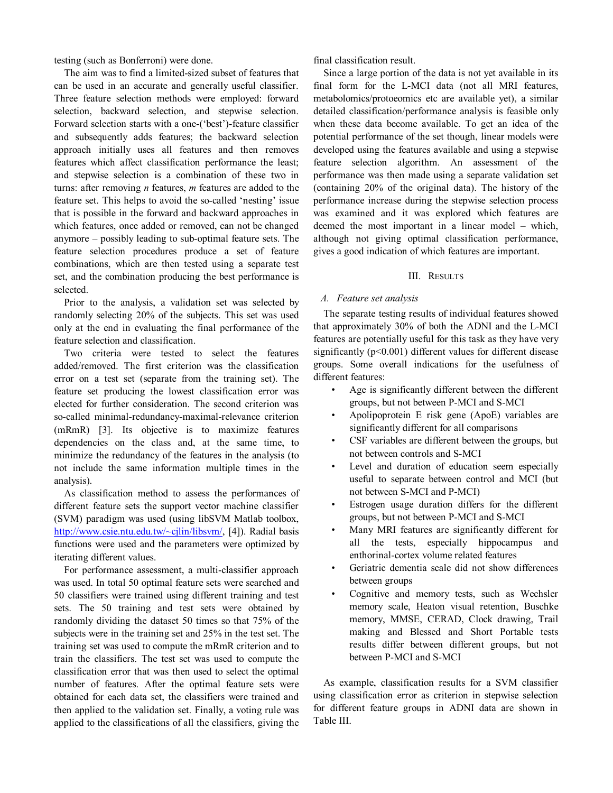testing (such as Bonferroni) were done.

The aim was to find a limited-sized subset of features that can be used in an accurate and generally useful classifier. Three feature selection methods were employed: forward selection, backward selection, and stepwise selection. Forward selection starts with a one-('best')-feature classifier and subsequently adds features; the backward selection approach initially uses all features and then removes features which affect classification performance the least; and stepwise selection is a combination of these two in turns: after removing *n* features, *m* features are added to the feature set. This helps to avoid the so-called 'nesting' issue that is possible in the forward and backward approaches in which features, once added or removed, can not be changed anymore – possibly leading to sub-optimal feature sets. The feature selection procedures produce a set of feature combinations, which are then tested using a separate test set, and the combination producing the best performance is selected.

Prior to the analysis, a validation set was selected by randomly selecting 20% of the subjects. This set was used only at the end in evaluating the final performance of the feature selection and classification.

Two criteria were tested to select the features added/removed. The first criterion was the classification error on a test set (separate from the training set). The feature set producing the lowest classification error was elected for further consideration. The second criterion was so-called minimal-redundancy-maximal-relevance criterion (mRmR) [3]. Its objective is to maximize features dependencies on the class and, at the same time, to minimize the redundancy of the features in the analysis (to not include the same information multiple times in the analysis).

As classification method to assess the performances of different feature sets the support vector machine classifier (SVM) paradigm was used (using libSVM Matlab toolbox, http://www.csie.ntu.edu.tw/~cjlin/libsvm/, [4]). Radial basis functions were used and the parameters were optimized by iterating different values.

For performance assessment, a multi-classifier approach was used. In total 50 optimal feature sets were searched and 50 classifiers were trained using different training and test sets. The 50 training and test sets were obtained by randomly dividing the dataset 50 times so that 75% of the subjects were in the training set and 25% in the test set. The training set was used to compute the mRmR criterion and to train the classifiers. The test set was used to compute the classification error that was then used to select the optimal number of features. After the optimal feature sets were obtained for each data set, the classifiers were trained and then applied to the validation set. Finally, a voting rule was applied to the classifications of all the classifiers, giving the final classification result.

Since a large portion of the data is not yet available in its final form for the L-MCI data (not all MRI features, metabolomics/protoeomics etc are available yet), a similar detailed classification/performance analysis is feasible only when these data become available. To get an idea of the potential performance of the set though, linear models were developed using the features available and using a stepwise feature selection algorithm. An assessment of the performance was then made using a separate validation set (containing 20% of the original data). The history of the performance increase during the stepwise selection process was examined and it was explored which features are deemed the most important in a linear model – which, although not giving optimal classification performance, gives a good indication of which features are important.

## III. RESULTS

## *A. Feature set analysis*

The separate testing results of individual features showed that approximately 30% of both the ADNI and the L-MCI features are potentially useful for this task as they have very significantly  $(p<0.001)$  different values for different disease groups. Some overall indications for the usefulness of different features:

- Age is significantly different between the different groups, but not between P-MCI and S-MCI
- Apolipoprotein E risk gene (ApoE) variables are significantly different for all comparisons
- CSF variables are different between the groups, but not between controls and S-MCI
- Level and duration of education seem especially useful to separate between control and MCI (but not between S-MCI and P-MCI)
- Estrogen usage duration differs for the different groups, but not between P-MCI and S-MCI
- Many MRI features are significantly different for all the tests, especially hippocampus and enthorinal-cortex volume related features
- Geriatric dementia scale did not show differences between groups
- Cognitive and memory tests, such as Wechsler memory scale, Heaton visual retention, Buschke memory, MMSE, CERAD, Clock drawing, Trail making and Blessed and Short Portable tests results differ between different groups, but not between P-MCI and S-MCI

As example, classification results for a SVM classifier using classification error as criterion in stepwise selection for different feature groups in ADNI data are shown in Table III.